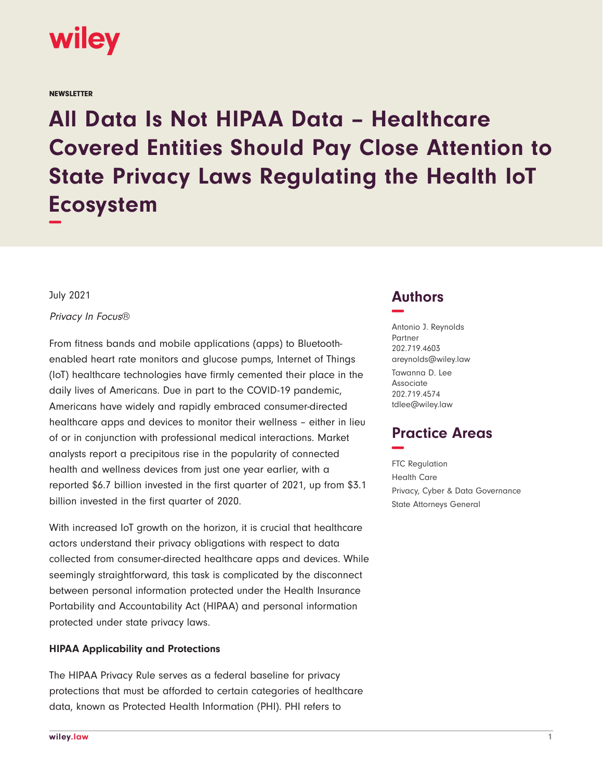

**NEWSLETTER** 

**All Data Is Not HIPAA Data – Healthcare Covered Entities Should Pay Close Attention to State Privacy Laws Regulating the Health IoT Ecosystem −**

July 2021

Privacy In Focus®

From fitness bands and mobile applications (apps) to Bluetoothenabled heart rate monitors and glucose pumps, Internet of Things (IoT) healthcare technologies have firmly cemented their place in the daily lives of Americans. Due in part to the COVID-19 pandemic, Americans have widely and rapidly embraced consumer-directed healthcare apps and devices to monitor their wellness – either in lieu of or in conjunction with professional medical interactions. Market analysts report a precipitous rise in the popularity of connected health and wellness devices from just one year earlier, with a reported \$6.7 billion invested in the first quarter of 2021, up from \$3.1 billion invested in the first quarter of 2020.

With increased IoT growth on the horizon, it is crucial that healthcare actors understand their privacy obligations with respect to data collected from consumer-directed healthcare apps and devices. While seemingly straightforward, this task is complicated by the disconnect between personal information protected under the Health Insurance Portability and Accountability Act (HIPAA) and personal information protected under state privacy laws.

#### **HIPAA Applicability and Protections**

The HIPAA Privacy Rule serves as a federal baseline for privacy protections that must be afforded to certain categories of healthcare data, known as Protected Health Information (PHI). PHI refers to

# **Authors −**

Antonio J. Reynolds Partner 202.719.4603 areynolds@wiley.law Tawanna D. Lee Associate 202.719.4574 tdlee@wiley.law

# **Practice Areas −**

FTC Regulation Health Care Privacy, Cyber & Data Governance State Attorneys General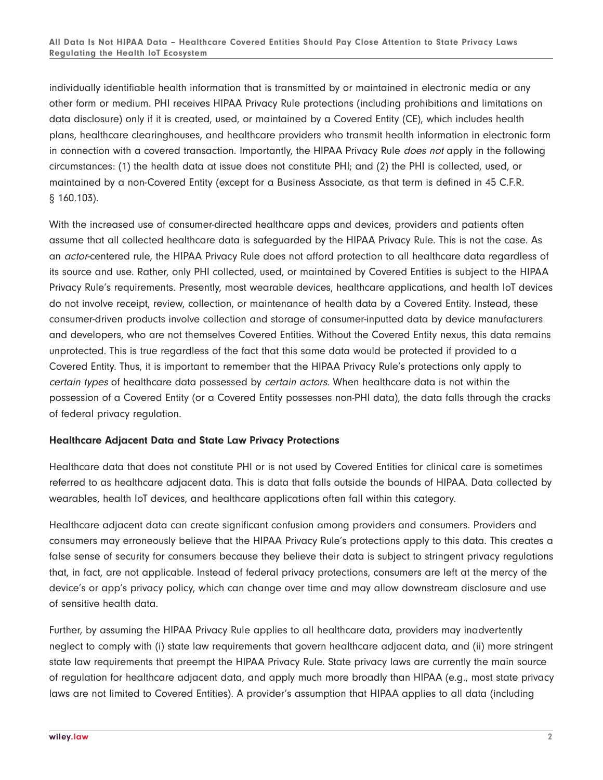individually identifiable health information that is transmitted by or maintained in electronic media or any other form or medium. PHI receives HIPAA Privacy Rule protections (including prohibitions and limitations on data disclosure) only if it is created, used, or maintained by a Covered Entity (CE), which includes health plans, healthcare clearinghouses, and healthcare providers who transmit health information in electronic form in connection with a covered transaction. Importantly, the HIPAA Privacy Rule *does not* apply in the following circumstances: (1) the health data at issue does not constitute PHI; and (2) the PHI is collected, used, or maintained by a non-Covered Entity (except for a Business Associate, as that term is defined in 45 C.F.R. § 160.103).

With the increased use of consumer-directed healthcare apps and devices, providers and patients often assume that all collected healthcare data is safeguarded by the HIPAA Privacy Rule. This is not the case. As an actor-centered rule, the HIPAA Privacy Rule does not afford protection to all healthcare data regardless of its source and use. Rather, only PHI collected, used, or maintained by Covered Entities is subject to the HIPAA Privacy Rule's requirements. Presently, most wearable devices, healthcare applications, and health IoT devices do not involve receipt, review, collection, or maintenance of health data by a Covered Entity. Instead, these consumer-driven products involve collection and storage of consumer-inputted data by device manufacturers and developers, who are not themselves Covered Entities. Without the Covered Entity nexus, this data remains unprotected. This is true regardless of the fact that this same data would be protected if provided to a Covered Entity. Thus, it is important to remember that the HIPAA Privacy Rule's protections only apply to certain types of healthcare data possessed by certain actors. When healthcare data is not within the possession of a Covered Entity (or a Covered Entity possesses non-PHI data), the data falls through the cracks of federal privacy regulation.

### **Healthcare Adjacent Data and State Law Privacy Protections**

Healthcare data that does not constitute PHI or is not used by Covered Entities for clinical care is sometimes referred to as healthcare adjacent data. This is data that falls outside the bounds of HIPAA. Data collected by wearables, health IoT devices, and healthcare applications often fall within this category.

Healthcare adjacent data can create significant confusion among providers and consumers. Providers and consumers may erroneously believe that the HIPAA Privacy Rule's protections apply to this data. This creates a false sense of security for consumers because they believe their data is subject to stringent privacy regulations that, in fact, are not applicable. Instead of federal privacy protections, consumers are left at the mercy of the device's or app's privacy policy, which can change over time and may allow downstream disclosure and use of sensitive health data.

Further, by assuming the HIPAA Privacy Rule applies to all healthcare data, providers may inadvertently neglect to comply with (i) state law requirements that govern healthcare adjacent data, and (ii) more stringent state law requirements that preempt the HIPAA Privacy Rule. State privacy laws are currently the main source of regulation for healthcare adjacent data, and apply much more broadly than HIPAA (e.g., most state privacy laws are not limited to Covered Entities). A provider's assumption that HIPAA applies to all data (including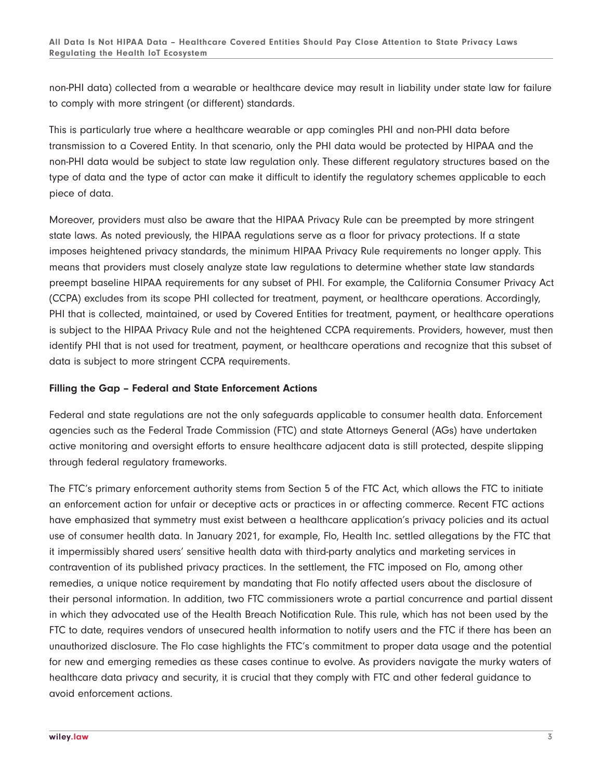non-PHI data) collected from a wearable or healthcare device may result in liability under state law for failure to comply with more stringent (or different) standards.

This is particularly true where a healthcare wearable or app comingles PHI and non-PHI data before transmission to a Covered Entity. In that scenario, only the PHI data would be protected by HIPAA and the non-PHI data would be subject to state law regulation only. These different regulatory structures based on the type of data and the type of actor can make it difficult to identify the regulatory schemes applicable to each piece of data.

Moreover, providers must also be aware that the HIPAA Privacy Rule can be preempted by more stringent state laws. As noted previously, the HIPAA regulations serve as a floor for privacy protections. If a state imposes heightened privacy standards, the minimum HIPAA Privacy Rule requirements no longer apply. This means that providers must closely analyze state law regulations to determine whether state law standards preempt baseline HIPAA requirements for any subset of PHI. For example, the California Consumer Privacy Act (CCPA) excludes from its scope PHI collected for treatment, payment, or healthcare operations. Accordingly, PHI that is collected, maintained, or used by Covered Entities for treatment, payment, or healthcare operations is subject to the HIPAA Privacy Rule and not the heightened CCPA requirements. Providers, however, must then identify PHI that is not used for treatment, payment, or healthcare operations and recognize that this subset of data is subject to more stringent CCPA requirements.

## **Filling the Gap – Federal and State Enforcement Actions**

Federal and state regulations are not the only safeguards applicable to consumer health data. Enforcement agencies such as the Federal Trade Commission (FTC) and state Attorneys General (AGs) have undertaken active monitoring and oversight efforts to ensure healthcare adjacent data is still protected, despite slipping through federal regulatory frameworks.

The FTC's primary enforcement authority stems from Section 5 of the FTC Act, which allows the FTC to initiate an enforcement action for unfair or deceptive acts or practices in or affecting commerce. Recent FTC actions have emphasized that symmetry must exist between a healthcare application's privacy policies and its actual use of consumer health data. In January 2021, for example, Flo, Health Inc. settled allegations by the FTC that it impermissibly shared users' sensitive health data with third-party analytics and marketing services in contravention of its published privacy practices. In the settlement, the FTC imposed on Flo, among other remedies, a unique notice requirement by mandating that Flo notify affected users about the disclosure of their personal information. In addition, two FTC commissioners wrote a partial concurrence and partial dissent in which they advocated use of the Health Breach Notification Rule. This rule, which has not been used by the FTC to date, requires vendors of unsecured health information to notify users and the FTC if there has been an unauthorized disclosure. The Flo case highlights the FTC's commitment to proper data usage and the potential for new and emerging remedies as these cases continue to evolve. As providers navigate the murky waters of healthcare data privacy and security, it is crucial that they comply with FTC and other federal guidance to avoid enforcement actions.